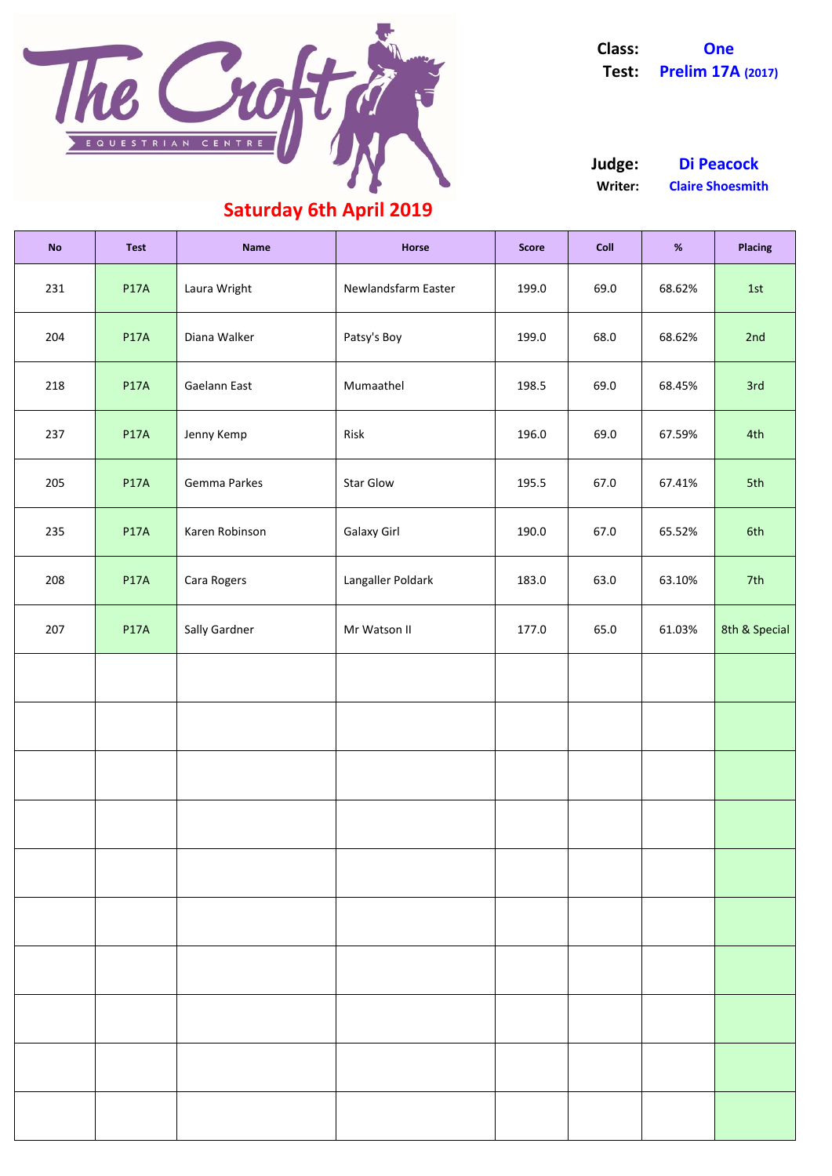| <b>No</b> | <b>Test</b> | <b>Name</b>    | <b>Horse</b>        | <b>Score</b> | <b>Coll</b> | $\%$   | <b>Placing</b> |
|-----------|-------------|----------------|---------------------|--------------|-------------|--------|----------------|
| 231       | <b>P17A</b> | Laura Wright   | Newlandsfarm Easter | 199.0        | 69.0        | 68.62% | 1st            |
| 204       | <b>P17A</b> | Diana Walker   | Patsy's Boy         | 199.0        | 68.0        | 68.62% | 2nd            |
| 218       | <b>P17A</b> | Gaelann East   | Mumaathel           | 198.5        | 69.0        | 68.45% | 3rd            |
| 237       | <b>P17A</b> | Jenny Kemp     | Risk                | 196.0        | 69.0        | 67.59% | 4th            |
| 205       | <b>P17A</b> | Gemma Parkes   | <b>Star Glow</b>    | 195.5        | 67.0        | 67.41% | 5th            |
| 235       | <b>P17A</b> | Karen Robinson | <b>Galaxy Girl</b>  | 190.0        | 67.0        | 65.52% | 6th            |
| 208       | <b>P17A</b> | Cara Rogers    | Langaller Poldark   | 183.0        | 63.0        | 63.10% | 7th            |
| 207       | <b>P17A</b> | Sally Gardner  | Mr Watson II        | 177.0        | 65.0        | 61.03% | 8th & Special  |
|           |             |                |                     |              |             |        |                |
|           |             |                |                     |              |             |        |                |
|           |             |                |                     |              |             |        |                |
|           |             |                |                     |              |             |        |                |
|           |             |                |                     |              |             |        |                |

**Writer: Claire Shoesmith Judge: Di Peacock**

### **Saturday 6th April 2019**



**Class: One Test: Prelim 17A (2017)**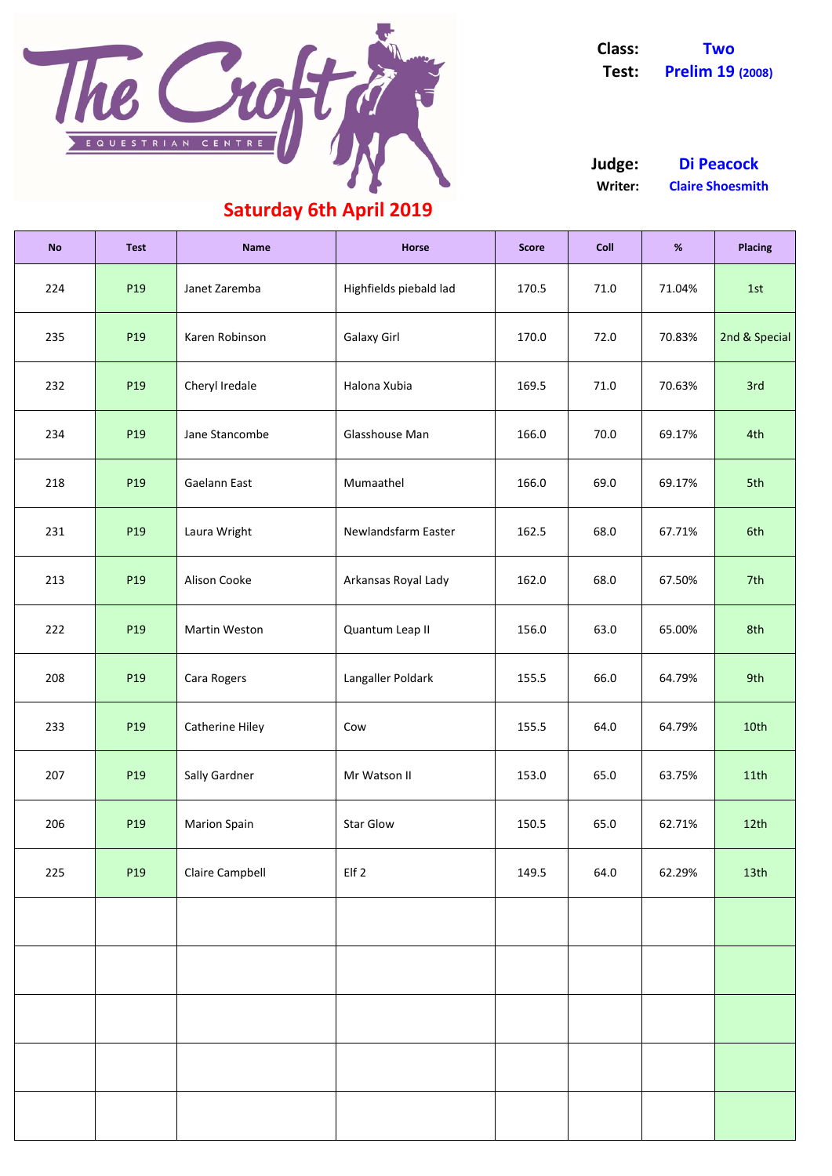| <b>No</b> | <b>Test</b>     | <b>Name</b>            | <b>Horse</b>           | <b>Score</b> | <b>Coll</b> | $\%$   | <b>Placing</b>   |
|-----------|-----------------|------------------------|------------------------|--------------|-------------|--------|------------------|
| 224       | P <sub>19</sub> | Janet Zaremba          | Highfields piebald lad | 170.5        | 71.0        | 71.04% | 1st              |
| 235       | P <sub>19</sub> | Karen Robinson         | <b>Galaxy Girl</b>     | 170.0        | 72.0        | 70.83% | 2nd & Special    |
| 232       | P <sub>19</sub> | Cheryl Iredale         | Halona Xubia           | 169.5        | 71.0        | 70.63% | 3rd              |
| 234       | P <sub>19</sub> | Jane Stancombe         | Glasshouse Man         | 166.0        | 70.0        | 69.17% | 4th              |
| 218       | P <sub>19</sub> | Gaelann East           | Mumaathel              | 166.0        | 69.0        | 69.17% | 5th              |
| 231       | P <sub>19</sub> | Laura Wright           | Newlandsfarm Easter    | 162.5        | 68.0        | 67.71% | 6th              |
| 213       | P <sub>19</sub> | Alison Cooke           | Arkansas Royal Lady    | 162.0        | 68.0        | 67.50% | 7th              |
| 222       | P <sub>19</sub> | <b>Martin Weston</b>   | Quantum Leap II        | 156.0        | 63.0        | 65.00% | 8th              |
| 208       | P19             | Cara Rogers            | Langaller Poldark      | 155.5        | 66.0        | 64.79% | 9th              |
| 233       | P <sub>19</sub> | <b>Catherine Hiley</b> | Cow                    | 155.5        | 64.0        | 64.79% | 10th             |
| 207       | P <sub>19</sub> | Sally Gardner          | Mr Watson II           | 153.0        | 65.0        | 63.75% | 11th             |
| 206       | P <sub>19</sub> | <b>Marion Spain</b>    | <b>Star Glow</b>       | 150.5        | 65.0        | 62.71% | 12 <sup>th</sup> |
| 225       | P <sub>19</sub> | <b>Claire Campbell</b> | Elf 2                  | 149.5        | 64.0        | 62.29% | 13 <sup>th</sup> |
|           |                 |                        |                        |              |             |        |                  |
|           |                 |                        |                        |              |             |        |                  |
|           |                 |                        |                        |              |             |        |                  |
|           |                 |                        |                        |              |             |        |                  |
|           |                 |                        |                        |              |             |        |                  |



**Class: Two Test: Prelim 19 (2008)**

**Writer: Claire Shoesmith Judge: Di Peacock**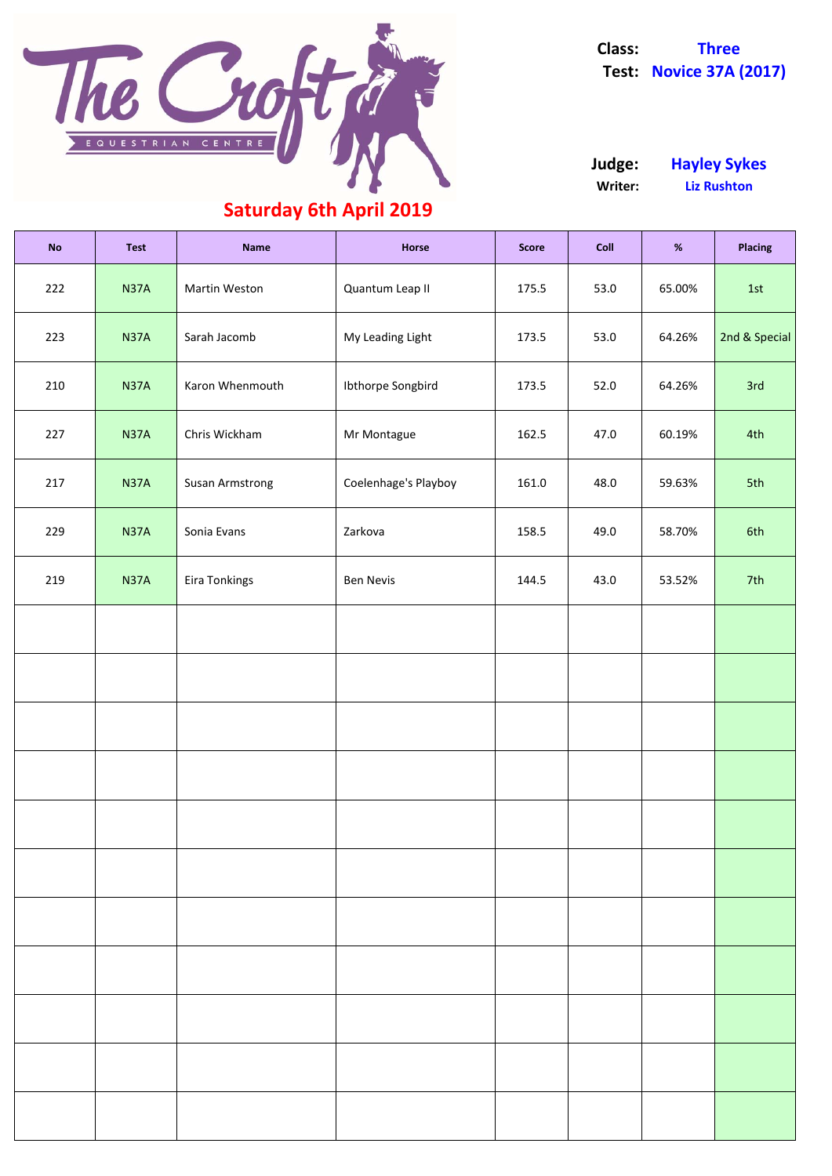| <b>No</b> | <b>Test</b> | <b>Name</b>            | <b>Horse</b>         | <b>Score</b> | Coll | $\%$   | <b>Placing</b> |
|-----------|-------------|------------------------|----------------------|--------------|------|--------|----------------|
| 222       | <b>N37A</b> | Martin Weston          | Quantum Leap II      | 175.5        | 53.0 | 65.00% | 1st            |
| 223       | <b>N37A</b> | Sarah Jacomb           | My Leading Light     | 173.5        | 53.0 | 64.26% | 2nd & Special  |
| 210       | <b>N37A</b> | Karon Whenmouth        | Ibthorpe Songbird    | 173.5        | 52.0 | 64.26% | 3rd            |
| 227       | <b>N37A</b> | Chris Wickham          | Mr Montague          | 162.5        | 47.0 | 60.19% | 4th            |
| 217       | <b>N37A</b> | <b>Susan Armstrong</b> | Coelenhage's Playboy | 161.0        | 48.0 | 59.63% | 5th            |
| 229       | <b>N37A</b> | Sonia Evans            | Zarkova              | 158.5        | 49.0 | 58.70% | 6th            |
| 219       | <b>N37A</b> | Eira Tonkings          | <b>Ben Nevis</b>     | 144.5        | 43.0 | 53.52% | 7th            |
|           |             |                        |                      |              |      |        |                |
|           |             |                        |                      |              |      |        |                |
|           |             |                        |                      |              |      |        |                |
|           |             |                        |                      |              |      |        |                |
|           |             |                        |                      |              |      |        |                |
|           |             |                        |                      |              |      |        |                |



**Class: Three Test: Novice 37A (2017)**

**Writer: Liz Rushton Judge: Hayley Sykes**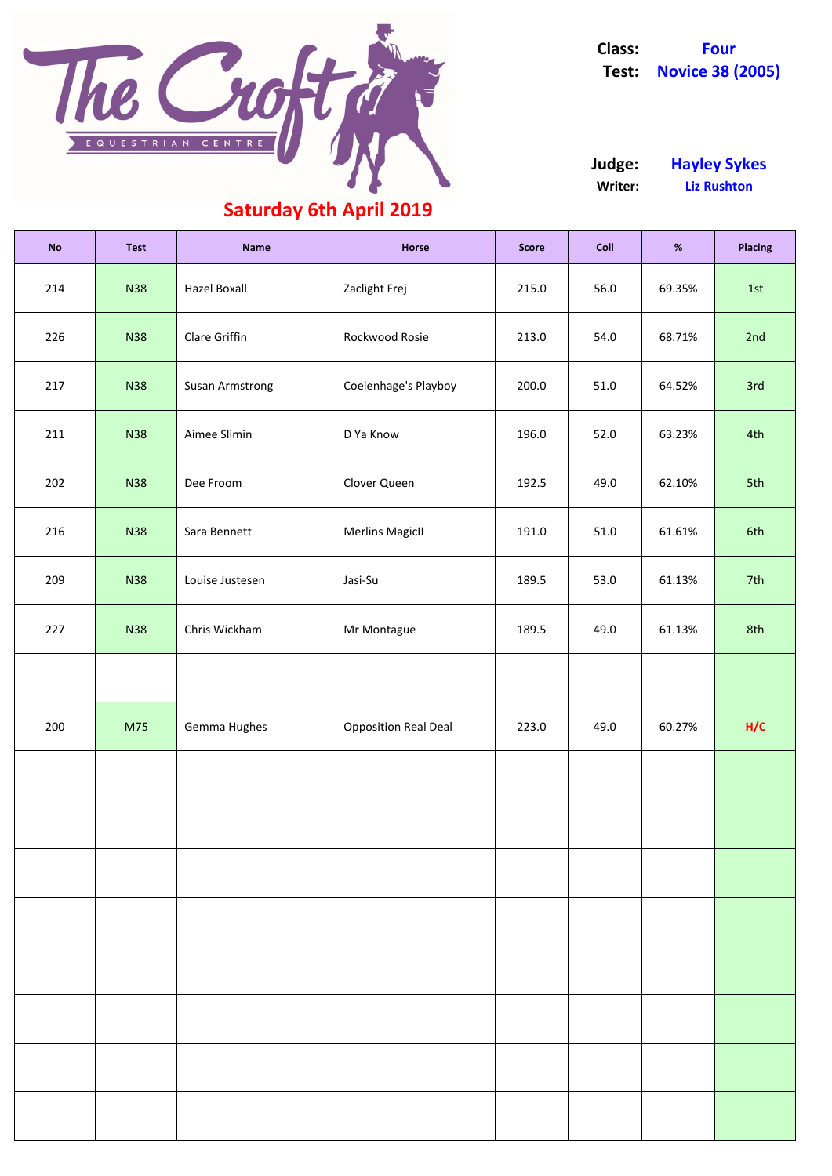| <b>No</b> | <b>Test</b> | <b>Name</b>            | Horse                       | <b>Score</b> | <b>Coll</b> | %      | <b>Placing</b> |
|-----------|-------------|------------------------|-----------------------------|--------------|-------------|--------|----------------|
| 214       | <b>N38</b>  | <b>Hazel Boxall</b>    | Zaclight Frej               | 215.0        | 56.0        | 69.35% | 1st            |
| 226       | <b>N38</b>  | Clare Griffin          | Rockwood Rosie              | 213.0        | 54.0        | 68.71% | 2nd            |
| 217       | <b>N38</b>  | <b>Susan Armstrong</b> | Coelenhage's Playboy        | 200.0        | 51.0        | 64.52% | 3rd            |
| 211       | <b>N38</b>  | Aimee Slimin           | D Ya Know                   | 196.0        | 52.0        | 63.23% | 4th            |
| 202       | <b>N38</b>  | Dee Froom              | Clover Queen                | 192.5        | 49.0        | 62.10% | 5th            |
| 216       | <b>N38</b>  | Sara Bennett           | <b>Merlins MagicII</b>      | 191.0        | 51.0        | 61.61% | 6th            |
| 209       | <b>N38</b>  | Louise Justesen        | Jasi-Su                     | 189.5        | 53.0        | 61.13% | 7th            |
| 227       | <b>N38</b>  | Chris Wickham          | Mr Montague                 | 189.5        | 49.0        | 61.13% | 8th            |
|           |             |                        |                             |              |             |        |                |
| 200       | M75         | Gemma Hughes           | <b>Opposition Real Deal</b> | 223.0        | 49.0        | 60.27% | H/C            |
|           |             |                        |                             |              |             |        |                |
|           |             |                        |                             |              |             |        |                |
|           |             |                        |                             |              |             |        |                |



**Class: Four Test: Novice 38 (2005)**

**Writer: Liz Rushton Judge: Hayley Sykes**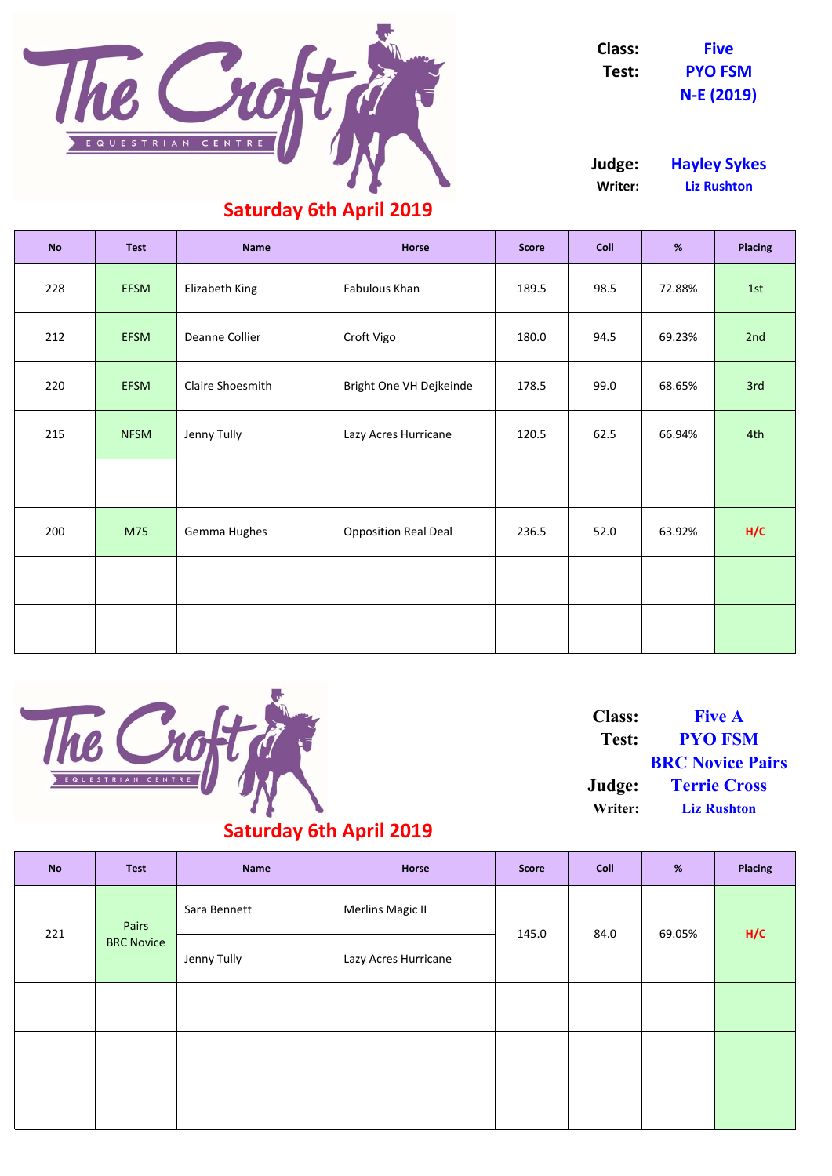| <b>No</b> | <b>Test</b> | <b>Name</b>             | <b>Horse</b>                | <b>Score</b> | <b>Coll</b> | %      | <b>Placing</b> |
|-----------|-------------|-------------------------|-----------------------------|--------------|-------------|--------|----------------|
| 228       | <b>EFSM</b> | Elizabeth King          | Fabulous Khan               | 189.5        | 98.5        | 72.88% | 1st            |
| 212       | <b>EFSM</b> | Deanne Collier          | Croft Vigo                  | 180.0        | 94.5        | 69.23% | 2nd            |
| 220       | <b>EFSM</b> | <b>Claire Shoesmith</b> | Bright One VH Dejkeinde     | 178.5        | 99.0        | 68.65% | 3rd            |
| 215       | <b>NFSM</b> | Jenny Tully             | Lazy Acres Hurricane        | 120.5        | 62.5        | 66.94% | 4th            |
|           |             |                         |                             |              |             |        |                |
| 200       | M75         | Gemma Hughes            | <b>Opposition Real Deal</b> | 236.5        | 52.0        | 63.92% | H/C            |
|           |             |                         |                             |              |             |        |                |
|           |             |                         |                             |              |             |        |                |



| <b>No</b> | <b>Test</b> | <b>Name</b> | <b>Horse</b> | <b>Score</b> | <b>Coll</b> | $\Omega$<br>70 | <b>Placing</b> |
|-----------|-------------|-------------|--------------|--------------|-------------|----------------|----------------|
|           |             |             |              |              |             |                |                |

| 221 | Pairs             | Sara Bennett | <b>Merlins Magic II</b> | 145.0 | 84.0 | 69.05% | H/C |
|-----|-------------------|--------------|-------------------------|-------|------|--------|-----|
|     | <b>BRC Novice</b> | Jenny Tully  | Lazy Acres Hurricane    |       |      |        |     |
|     |                   |              |                         |       |      |        |     |
|     |                   |              |                         |       |      |        |     |
|     |                   |              |                         |       |      |        |     |

#### **Saturday 6th April 2019**

**Test: PYO FSM BRC Novice Pairs Judge: Terrie Cross Writer: Liz Rushton Class: Five A**



**Class: Five Test: PYO FSM N‐E (2019)**

**Judge: Hayley Sykes Writer: Liz Rushton**